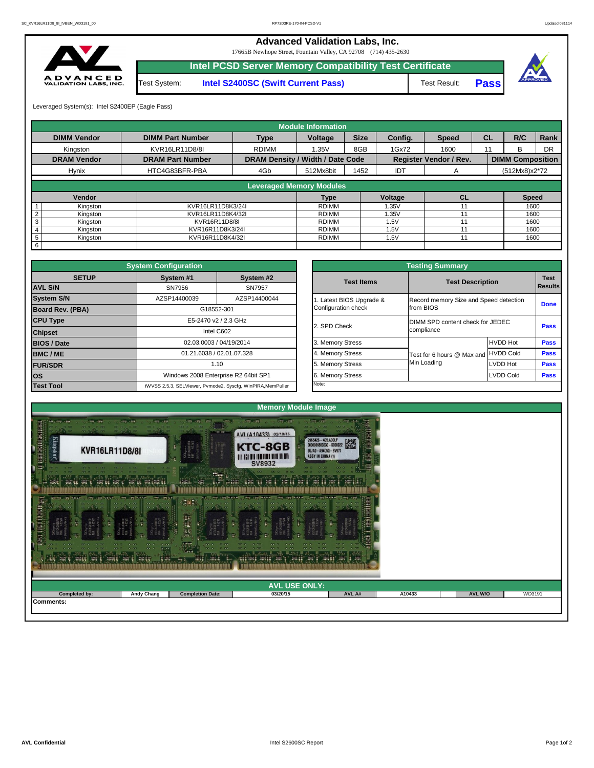

| ANY'S ANNUAL ANY'S ANNUAL ANY'S ANNUAL | <b>IC WALL</b>    | <b>Cardin</b><br><b>Contract</b> | Canada ang ag "ang "a"<br><b>MARKET WAY RO</b><br><b>DAY ET</b> | ಿಸಿದ   |        |                |        |
|----------------------------------------|-------------------|----------------------------------|-----------------------------------------------------------------|--------|--------|----------------|--------|
|                                        |                   |                                  | <b>AVL USE ONLY:</b>                                            |        |        |                |        |
| <b>Completed by:</b>                   | <b>Andy Chang</b> | <b>Completion Date:</b>          | 03/20/15                                                        | AVL A# | A10433 | <b>AVL W/O</b> | WD3191 |
| Comments:                              |                   |                                  |                                                                 |        |        |                |        |
|                                        |                   |                                  |                                                                 |        |        |                |        |

|                                         | <b>System Configuration</b> |                                                             |              |                       | <b>Testing Summary</b>           |                                        |                            |  |
|-----------------------------------------|-----------------------------|-------------------------------------------------------------|--------------|-----------------------|----------------------------------|----------------------------------------|----------------------------|--|
| <b>SETUP</b>                            | System #1                   | System #2<br><b>Test Items</b>                              |              |                       | <b>Test Description</b>          |                                        | <b>Test</b>                |  |
| <b>AVL S/N</b>                          | SN7956                      | <b>SN7957</b>                                               |              |                       |                                  |                                        | <b>Results</b>             |  |
| <b>System S/N</b>                       | AZSP14400039                | AZSP14400044                                                |              | Latest BIOS Upgrade & |                                  | Record memory Size and Speed detection |                            |  |
| <b>Board Rev. (PBA)</b>                 |                             | G18552-301                                                  |              | Configuration check   | from BIOS                        |                                        | <b>Done</b><br><b>Pass</b> |  |
| <b>CPU Type</b><br>E5-2470 v2 / 2.3 GHz |                             |                                                             | 2. SPD Check |                       | DIMM SPD content check for JEDEC |                                        |                            |  |
| <b>Chipset</b>                          |                             | Intel C602                                                  |              |                       | compliance                       |                                        |                            |  |
| <b>BIOS / Date</b>                      |                             | 02.03.0003 / 04/19/2014                                     |              | 3. Memory Stress      |                                  | <b>HVDD Hot</b>                        | <b>Pass</b>                |  |
| <b>BMC/ME</b>                           |                             | 01.21.6038 / 02.01.07.328                                   |              | 4. Memory Stress      | Test for 6 hours @ Max and       | <b>HVDD Cold</b>                       | <b>Pass</b>                |  |
| <b>FUR/SDR</b>                          | 1.10                        |                                                             |              | 5. Memory Stress      | Min Loading                      | LVDD Hot                               | <b>Pass</b>                |  |
| <b>IOS</b>                              |                             | Windows 2008 Enterprise R2 64bit SP1                        |              | 6. Memory Stress      |                                  | <b>LVDD Cold</b>                       | <b>Pass</b>                |  |
| <b>Test Tool</b>                        |                             | iWVSS 2.5.3, SELViewer, Pvmode2, Syscfg, WinPIRA, MemPuller |              | Note:                 |                                  |                                        |                            |  |

|                         | <b>Testing Summary</b>                          |                                                     |                                  |             |  |  |  |  |  |  |
|-------------------------|-------------------------------------------------|-----------------------------------------------------|----------------------------------|-------------|--|--|--|--|--|--|
| System #2<br>SN7957     | <b>Test Items</b>                               | <b>Test Description</b>                             |                                  |             |  |  |  |  |  |  |
| AZSP14400044            | 1. Latest BIOS Upgrade &<br>Configuration check | Record memory Size and Speed detection<br>from BIOS |                                  | <b>Done</b> |  |  |  |  |  |  |
| GHz                     | 2. SPD Check                                    | compliance                                          | DIMM SPD content check for JEDEC |             |  |  |  |  |  |  |
| /2014                   | 3. Memory Stress                                |                                                     | <b>HVDD Hot</b>                  | <b>Pass</b> |  |  |  |  |  |  |
| )7.328                  | 4. Memory Stress                                | Test for 6 hours @ Max and                          | <b>HVDD Cold</b>                 | <b>Pass</b> |  |  |  |  |  |  |
|                         | 5. Memory Stress                                | Min Loading                                         | <b>LVDD Hot</b>                  | <b>Pass</b> |  |  |  |  |  |  |
| R2 64bit SP1            | 6. Memory Stress                                |                                                     | <b>LVDD Cold</b>                 | <b>Pass</b> |  |  |  |  |  |  |
| cfg, WinPIRA, MemPuller | Note:                                           |                                                     |                                  |             |  |  |  |  |  |  |

|                             |                         |                                         | <b>Module Information</b>       |             |            |                               |           |                         |      |
|-----------------------------|-------------------------|-----------------------------------------|---------------------------------|-------------|------------|-------------------------------|-----------|-------------------------|------|
| <b>DIMM Vendor</b>          | <b>DIMM Part Number</b> | <b>Type</b>                             | <b>Voltage</b>                  | <b>Size</b> | Config.    | <b>Speed</b>                  | <b>CL</b> | R/C                     | Rank |
| Kingston                    | KVR16LR11D8/8I          | <b>RDIMM</b>                            | 1.35V                           | 8GB         | 1Gx72      | 1600                          | 11        | B.                      | DR   |
| <b>DRAM Vendor</b>          | <b>DRAM Part Number</b> | <b>DRAM Density / Width / Date Code</b> |                                 |             |            | <b>Register Vendor / Rev.</b> |           | <b>DIMM Composition</b> |      |
| <b>Hynix</b>                | HTC4G83BFR-PBA          | 4Gb                                     | 512Mx8bit                       | 1452        | <b>IDT</b> | A                             |           | $(512Mx8)x2*72$         |      |
|                             |                         |                                         |                                 |             |            |                               |           |                         |      |
|                             |                         |                                         | <b>Leveraged Memory Modules</b> |             |            |                               |           |                         |      |
| Vendor                      |                         |                                         | Type                            |             | Voltage    | <b>CL</b>                     |           | <b>Speed</b>            |      |
| Kingston                    | KVR16LR11D8K3/24I       |                                         | <b>RDIMM</b>                    |             | .35V       |                               |           | 1600                    |      |
| Kingston                    | KVR16LR11D8K4/32I       |                                         | RDIMM                           |             | 1.35V      | 11                            |           | 1600                    |      |
| Kingston                    |                         | KVR16R11D8/8I                           |                                 |             | 1.5V       |                               |           | 1600                    |      |
| Kingston<br>4               | KVR16R11D8K3/24I        |                                         | RDIMM                           |             | 1.5V       |                               |           | 1600                    |      |
| $5\phantom{.0}$<br>Kingston |                         | KVR16R11D8K4/32I<br><b>RDIMM</b>        |                                 |             | 1.5V       |                               |           | 1600                    |      |
| 6                           |                         |                                         |                                 |             |            |                               |           |                         |      |

**Pass**



17665B Newhope Street, Fountain Valley, CA 92708 (714) 435-2630



**Intel PCSD Server Memory Compatibility Test Certificate**

Test System: **Intel S2400SC (Swift Current Pass)** Test Result:

## **Advanced Validation Labs, Inc.**

Leveraged System(s): Intel S2400EP (Eagle Pass)